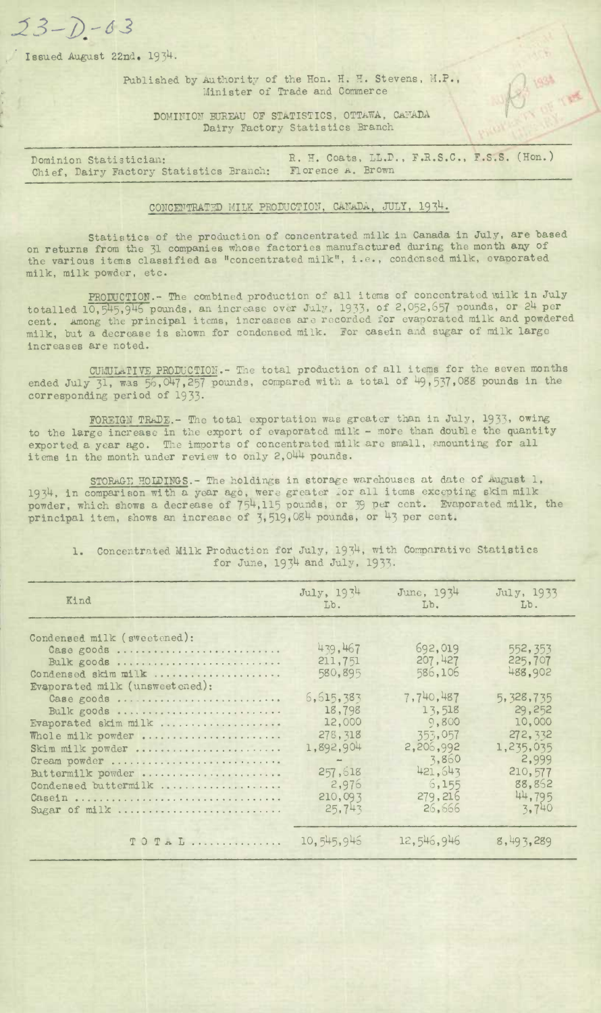Issued August 22nd. 1934.

Published by Authority of the Hon. H. H. Stevens, M.P., Minister of Trade and Commerce

DOMINION BUREAU OF STATISTICS, OTTAWA, CANADA Dairy Factory Statistics Branch

Dominion Statistician: R. H. Coats, LL.D., F.R.S.C., F.S.S. (Hon.)<br>Chief. Dairy Factory Statistics Branch: Florence A. Brown Chief, Dairy Factory Statistics Branch:

## CONCENTRATED MILK PRODUCTION, CANADA, JULY, 1934.

Statistics of the production of concentrated milk in Canada in July, are based on returns from the 31 companies whose factories manufactured during the month any of the various items classified as "concentrated milk", i.e., condensed milk, evaporated milk, milk powder, etc.

PRODUCTION.- The combined production of all items of concentrated wilk in July totalled  $10,545,945$  pounds, an increase over July, 1933, of 2,052,657 pounds, or 24 per cent. Among the principal items, increases are recorded for evaporated milk and powdered milk, but a decrease is shown for condensed milk. For casein and sugar of milk large increases are noted.

CUMULTIVE PRODUCTION.- The total production of all items for the seven months ended July  $\overline{31}$ , was  $\overline{56}$ , 047, 257 pounds, compared with a total of 49, 537, 088 pounds in the corresponding period of 1933-

FOREIGN TRADE.- The total exportation was greater than in July, 1933, owing to the large increase in the export of evaporated milk - more than double the quantity exported a year ago. The imports of concentrated milk are small, amounting for all items in the month under review to only 2,044 pounds.

 $\tt STORAGE$  HOLDINGS.- The holdings in storage warehouses at date of August 1, 1934, in comparison with a year ago, were greater for all items excepting skim milk powder, which shows a decrease of 754,115 pounds, or 39 per cent. Evaporated milk, the principal item, shows an increase of  $3,519,084$  pounds, or 43 per cent.

| Kind                                      | July, 1934<br>Lb. | June, 1934<br>Lb. | July, 1933<br>Lb.   |
|-------------------------------------------|-------------------|-------------------|---------------------|
| Condensed milk (sweetened):               | 439,467           | 692,019           |                     |
| Case goods<br>Bulk goods                  | 211,751           | 207, 427          | 552, 353<br>225,707 |
| Condensed skim milk                       | 580,895           | 586,106           | 488,902             |
| Evaporated milk (unsweetened):            |                   |                   |                     |
| Case goods                                | 6, 515, 383       | 7,740,487         | 5, 328, 735         |
| Bulk goods                                | 18,798            | 13,518            | 29,252              |
| Evaporated skim milk                      | 12,000            | 9,800             | 10,000              |
| Whole milk powder                         | 278, 318          | 355,057           | 272, 332            |
| Skim milk powder                          | 1,892,904         | 2,206,992         | 1,235,035           |
| Cream powder                              | $\sim$<br>257,618 | 3,860<br>421, 643 | 2,999<br>210, 577   |
| Buttermilk powder<br>Condensed buttermilk | 2,976             | 6,155             | 88,852              |
| Casein                                    | 210,093           | 279,216           | 44,795              |
| Sugar of $m1k$                            | 25,743            | 26,666            | 3,740               |
|                                           |                   |                   |                     |
| $TOTAL$                                   | 10, 545, 945      | 12,546,946        | 8,493,289           |
|                                           |                   |                   |                     |

1. Concentrated Milk Production for July, 19314, with Comparative Statistics for June,  $1934$  and July,  $1933$ .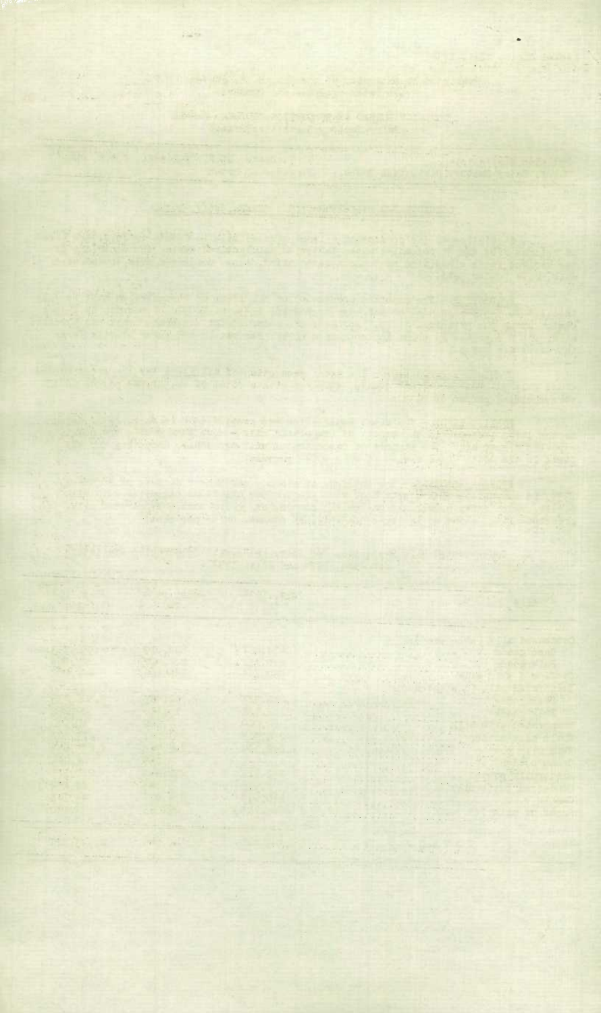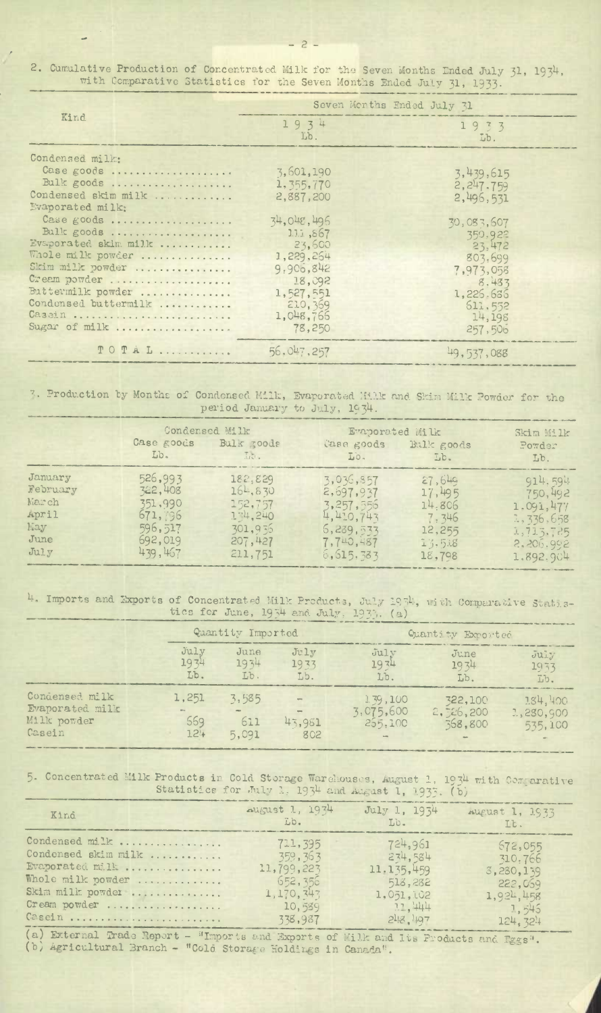$\rightarrow$ 

| 4. Cumulative Production of Concentrated Milk for the Seven Months Ended July 31, 1934, |  |  |  |  |  |  |
|-----------------------------------------------------------------------------------------|--|--|--|--|--|--|
| with Comparative Statistics for the Seven Months Ended July 31, 1933.                   |  |  |  |  |  |  |

| Seven Months Ended July 31 |                                                                                  |  |  |  |  |
|----------------------------|----------------------------------------------------------------------------------|--|--|--|--|
| 1934<br>Lb.                | 1933<br>Lb.                                                                      |  |  |  |  |
|                            |                                                                                  |  |  |  |  |
| 3,601,190                  | 3, 439, 615                                                                      |  |  |  |  |
|                            | 2, 247.759                                                                       |  |  |  |  |
|                            | 2,496,531                                                                        |  |  |  |  |
| 34,048,496                 | 30,083,607                                                                       |  |  |  |  |
| 111,867                    | 350,922                                                                          |  |  |  |  |
| 1,229,264                  | 23,472<br>803.699                                                                |  |  |  |  |
| 9.900, 842                 | 7,973,058                                                                        |  |  |  |  |
|                            | 8.433                                                                            |  |  |  |  |
|                            | 1,226.636                                                                        |  |  |  |  |
|                            | 611.552<br>14,198                                                                |  |  |  |  |
| 78,250                     | 257,506                                                                          |  |  |  |  |
| 56.047,257                 | 49, 537, 088                                                                     |  |  |  |  |
|                            | 1, 355, 70<br>2,887,200<br>23,500<br>18,092<br>1,527,551<br>210,369<br>1,048,766 |  |  |  |  |

. Production by Months of Condensed. M1k, Evaporated. k and Skin L1k *7owder* for the period January to July, 19314.

|          | $Lb$ .   | Condensed Milk<br>Case goods Bulk goods<br>Lit. | Evaporated Milk<br>Case goods<br>Lo. | Bulk goods<br>$\mathbb{L}$ b. | Skim Milk<br>Powder<br>Lb. |
|----------|----------|-------------------------------------------------|--------------------------------------|-------------------------------|----------------------------|
| January  | 526,993  | 182,829                                         | 3,036,857                            | 27,649                        | 914.594                    |
| February | 322,408  | 164, 830                                        | 2,697,937                            | 17,495                        | 750,492                    |
| March    | 351,990  | 152,757                                         | 3, 257, 556                          | 14.806                        | 1.091, 477                 |
| April    | 671,796  | 174, 240                                        | 4,410,743                            | 7.346                         | 3,336,658                  |
| May      | 596,517  | 301,936                                         | 5,289,533                            | 12,255                        | 1, 715, 725                |
| June     | 692,019  | 207,427                                         | 7,740,487                            | 13.518                        | 2.206.992                  |
| July     | 439, 467 | 211,751                                         | 6, 615, 783                          | 18,798                        | 1.892.904                  |

4. Imports and Exports of Concentrated Milk Products, July 1934, with Comparative tics for June,  $1934$  and July,  $193$ . (a)

|                                                            | Quantity Imported   |                       |                     |                                  | Quantity Exported                 |                                 |  |  |
|------------------------------------------------------------|---------------------|-----------------------|---------------------|----------------------------------|-----------------------------------|---------------------------------|--|--|
|                                                            | July<br>1934<br>Lb. | June<br>1934<br>Lb.   | July<br>1933<br>Lb. | Jully<br>1974<br>Lb.             | June<br>1934<br>Lb.               | Jujj<br>1933<br>Lb.             |  |  |
| Condensed milk<br>Evaporated milk<br>Milk powder<br>Casein | 1,251<br>559<br>124 | 3,585<br>611<br>5,091 | 43,981<br>802       | 1.39,100<br>3.075,600<br>255.100 | 322,100<br>2, 526, 200<br>568,800 | 184,400<br>1,280,900<br>535,100 |  |  |

5. Concentrated Milk Products in Cold Storage Warehouses, August 1, 1934 with Comparative Statistics for .Tuly 1. 193<sup>1</sup> and August 1, 1933. (b)

| Kind                | august 1, 1974 | July 1, 1934 | August 1, 1933 |
|---------------------|----------------|--------------|----------------|
|                     | $\bar{L}b$ .   | Lb.          | Th.            |
| Condensed milk      | 711, 395       | 724,961      | 672,055        |
| Condensed skim milk | 359, 363       | 274,584      | 310.766        |
| Evaporated milk     | 11,799,223     | 11.135,459   | 3,280,139      |
| Whole milk powder   | 652, 356       | 518,282      | 222,059        |
| Skim milk powder    | 1,170,343      | 1,051,102    | 1,924,458      |
| Cream powder        | 10,539         | 11.444       | 1,545          |
| Casein              | 338,987        | 248.197      | 124, 324       |

External Trade Report - "Imports and Exports of Wilk and Its Products and Pggs ricultural Branch - "Cold Storage Holdings in Canada".